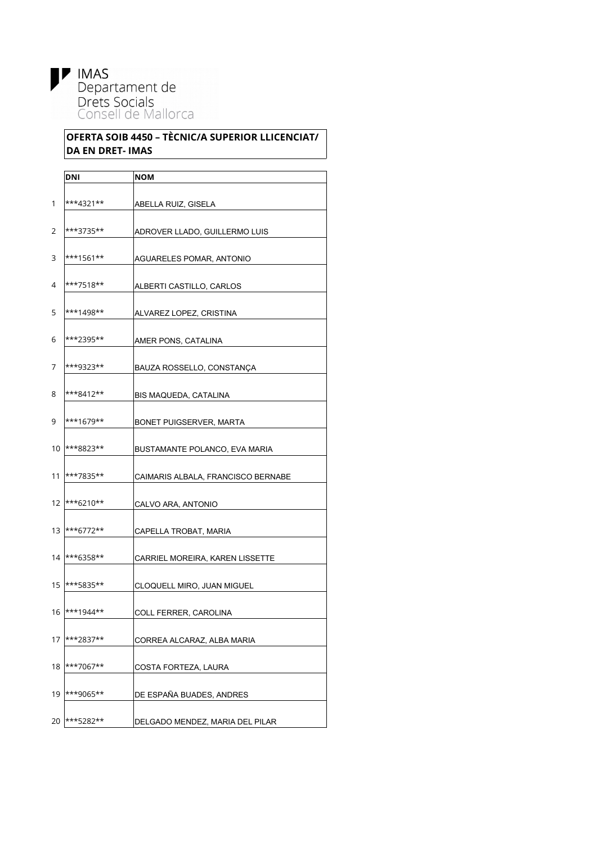

## **OFERTA SOIB 4450 – TÈCNIC/A SUPERIOR LLICENCIAT/ DA EN DRET- IMAS**

|    | DNI          | NOM                                |
|----|--------------|------------------------------------|
|    |              |                                    |
| 1  | ***4321**    | ABELLA RUIZ, GISELA                |
|    |              |                                    |
| 2  | ***3735**    | ADROVER LLADO, GUILLERMO LUIS      |
| 3  | ***1561**    |                                    |
|    |              | AGUARELES POMAR, ANTONIO           |
| 4  | ***7518**    | ALBERTI CASTILLO, CARLOS           |
|    |              |                                    |
| 5  | $***1498**$  | ALVAREZ LOPEZ, CRISTINA            |
|    |              |                                    |
| 6  | ***2395**    | AMER PONS, CATALINA                |
|    |              |                                    |
| 7  | ***9323**    | BAUZA ROSSELLO, CONSTANÇA          |
| 8  | ***8412**    | BIS MAQUEDA, CATALINA              |
|    |              |                                    |
| 9  | ***1679**    | BONET PUIGSERVER. MARTA            |
|    |              |                                    |
| 10 | ***8823**    | BUSTAMANTE POLANCO, EVA MARIA      |
|    |              |                                    |
| 11 | ***7835**    | CAIMARIS ALBALA, FRANCISCO BERNABE |
| 12 | ***6210**    | CALVO ARA, ANTONIO                 |
|    |              |                                    |
| 13 | ***6772**    | CAPELLA TROBAT, MARIA              |
|    |              |                                    |
| 14 | ***6358**    | CARRIEL MOREIRA, KAREN LISSETTE    |
|    |              |                                    |
| 15 | ***5835**    | CLOQUELL MIRO, JUAN MIGUEL         |
| 16 | $ ***1944**$ | COLL FERRER, CAROLINA              |
|    |              |                                    |
| 17 | ***2837**    | CORREA ALCARAZ, ALBA MARIA         |
|    |              |                                    |
| 18 | ***7067**    | COSTA FORTEZA, LAURA               |
|    |              |                                    |
| 19 | ***9065**    | DE ESPAÑA BUADES, ANDRES           |
|    |              |                                    |
| 20 | ***5282**    | DELGADO MENDEZ, MARIA DEL PILAR    |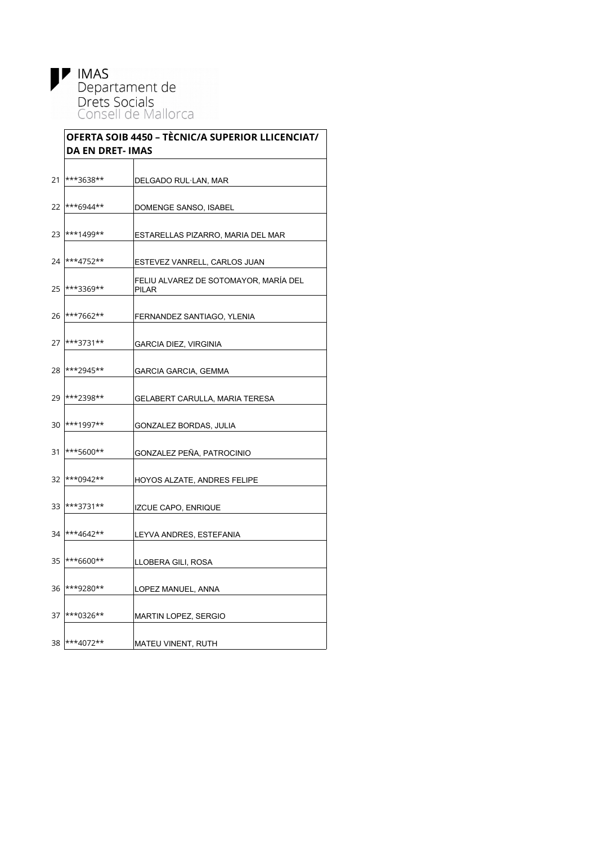**IMAS**<br>Departament de<br>Drets Socials<br>Consell de Mallorca

|    | OFERTA SOIB 4450 - TÈCNIC/A SUPERIOR LLICENCIAT/<br><b>DA EN DRET- IMAS</b> |                                                |  |
|----|-----------------------------------------------------------------------------|------------------------------------------------|--|
| 21 | ***3638**                                                                   | DELGADO RUL·LAN, MAR                           |  |
| 22 | ***6944**                                                                   | DOMENGE SANSO, ISABEL                          |  |
| 23 | ***1499**                                                                   | ESTARELLAS PIZARRO, MARIA DEL MAR              |  |
| 24 | ***4752**                                                                   | ESTEVEZ VANRELL, CARLOS JUAN                   |  |
| 25 | ***3369**                                                                   | FELIU ALVAREZ DE SOTOMAYOR, MARÍA DEL<br>PILAR |  |
| 26 | ***7662**                                                                   | FERNANDEZ SANTIAGO, YLENIA                     |  |
| 27 | ***3731**                                                                   | GARCIA DIEZ, VIRGINIA                          |  |
| 28 | ***2945**                                                                   | <b>GARCIA GARCIA, GEMMA</b>                    |  |
| 29 | ***2398**                                                                   | <b>GELABERT CARULLA, MARIA TERESA</b>          |  |
| 30 | ***1997**                                                                   | GONZALEZ BORDAS, JULIA                         |  |
| 31 | ***5600**                                                                   | GONZALEZ PEÑA, PATROCINIO                      |  |
| 32 | ***0942**                                                                   | HOYOS ALZATE, ANDRES FELIPE                    |  |
| 33 | ***3731**                                                                   | <b>IZCUE CAPO, ENRIQUE</b>                     |  |
| 34 | ***4642**                                                                   | LEYVA ANDRES, ESTEFANIA                        |  |
| 35 | ***6600**                                                                   | LLOBERA GILI, ROSA                             |  |
| 36 | ***9280**                                                                   | LOPEZ MANUEL, ANNA                             |  |
| 37 | $ ***0326***$                                                               | MARTIN LOPEZ, SERGIO                           |  |
|    | 38 ***4072**                                                                | MATEU VINENT, RUTH                             |  |